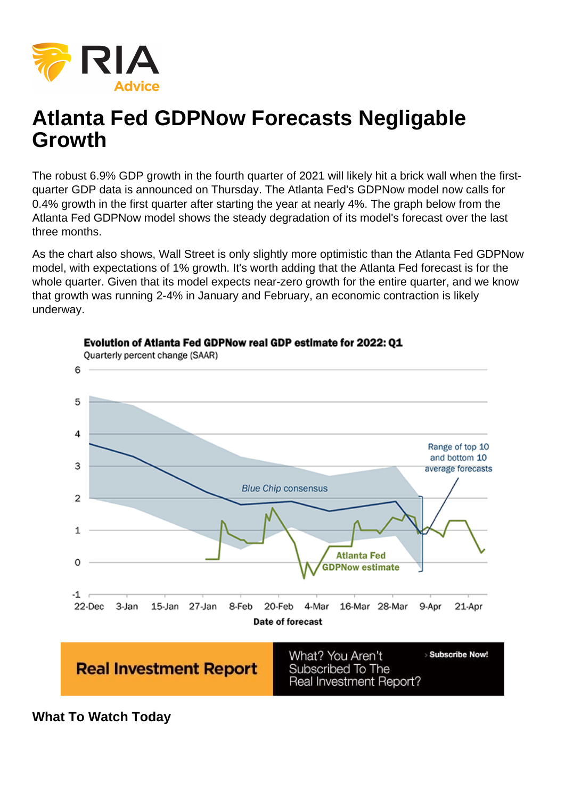# Atlanta Fed GDPNow Forecasts Negligable Growth

The robust 6.9% GDP growth in the fourth quarter of 2021 will likely hit a brick wall when the firstquarter GDP data is announced on Thursday. The Atlanta Fed's GDPNow model now calls for 0.4% growth in the first quarter after starting the year at nearly 4%. The graph below from the Atlanta Fed GDPNow model shows the steady degradation of its model's forecast over the last three months.

As the chart also shows, Wall Street is only slightly more optimistic than the Atlanta Fed GDPNow model, with expectations of 1% growth. It's worth adding that the Atlanta Fed forecast is for the whole quarter. Given that its model expects near-zero growth for the entire quarter, and we know that growth was running 2-4% in January and February, an economic contraction is likely underway.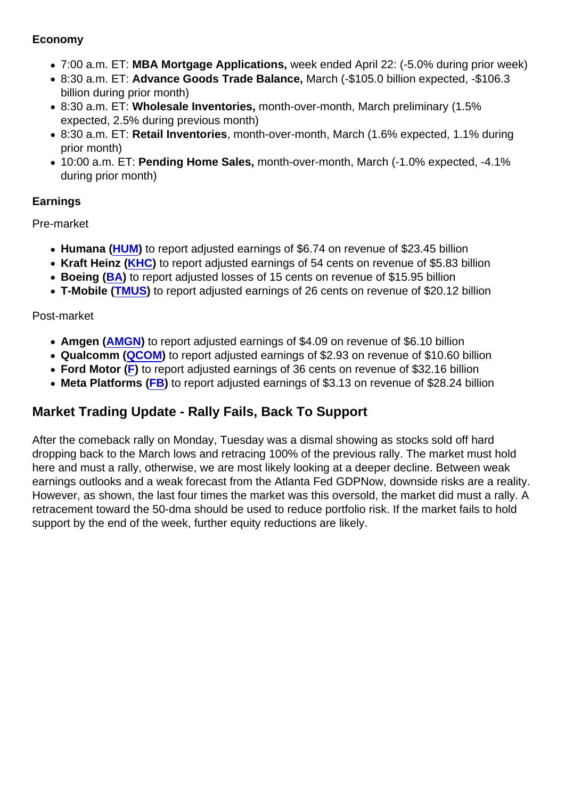#### Economy

- 7:00 a.m. ET: MBA Mortgage Applications, week ended April 22: (-5.0% during prior week)
- 8:30 a.m. ET: Advance Goods Trade Balance, March (-\$105.0 billion expected, -\$106.3 billion during prior month)
- 8:30 a.m. ET: Wholesale Inventories, month-over-month, March preliminary (1.5% expected, 2.5% during previous month)
- 8:30 a.m. ET: Retail Inventories , month-over-month, March (1.6% expected, 1.1% during prior month)
- 10:00 a.m. ET: Pending Home Sales, month-over-month, March (-1.0% expected, -4.1% during prior month)

### Earnings

Pre-market

- Humana ([HUM](https://finance.yahoo.com/quote/HUM?p=HUM&.tsrc=fin-srch)) to report adjusted earnings of \$6.74 on revenue of \$23.45 billion
- Kraft Heinz ([KHC\)](https://finance.yahoo.com/quote/KHC?p=KHC&.tsrc=fin-srch) to report adjusted earnings of 54 cents on revenue of \$5.83 billion
- Boeing ([BA](https://finance.yahoo.com/quote/BA?p=BA&.tsrc=fin-srch)) to report adjusted losses of 15 cents on revenue of \$15.95 billion
- T-Mobile ( [TMUS\)](https://finance.yahoo.com/quote/TMUS?p=TMUS&.tsrc=fin-srch) to report adjusted earnings of 26 cents on revenue of \$20.12 billion

### Post-market

- Amgen ([AMGN\)](https://finance.yahoo.com/quote/AMGN?p=AMGN&.tsrc=fin-srch) to report adjusted earnings of \$4.09 on revenue of \$6.10 billion
- Qualcomm ( [QCOM\)](https://finance.yahoo.com/quote/QCOM?p=QCOM&.tsrc=fin-srch) to report adjusted earnings of \$2.93 on revenue of \$10.60 billion
- [F](https://finance.yahoo.com/quote/F?p=F&.tsrc=fin-srch)ord Motor (F) to report adjusted earnings of 36 cents on revenue of \$32.16 billion
- Meta Platforms ([FB](https://finance.yahoo.com/quote/FB?p=FB&.tsrc=fin-srch)) to report adjusted earnings of \$3.13 on revenue of \$28.24 billion

## Market Trading Update - Rally Fails, Back To Support

After the comeback rally on Monday, Tuesday was a dismal showing as stocks sold off hard dropping back to the March lows and retracing 100% of the previous rally. The market must hold here and must a rally, otherwise, we are most likely looking at a deeper decline. Between weak earnings outlooks and a weak forecast from the Atlanta Fed GDPNow, downside risks are a reality. However, as shown, the last four times the market was this oversold, the market did must a rally. A retracement toward the 50-dma should be used to reduce portfolio risk. If the market fails to hold support by the end of the week, further equity reductions are likely.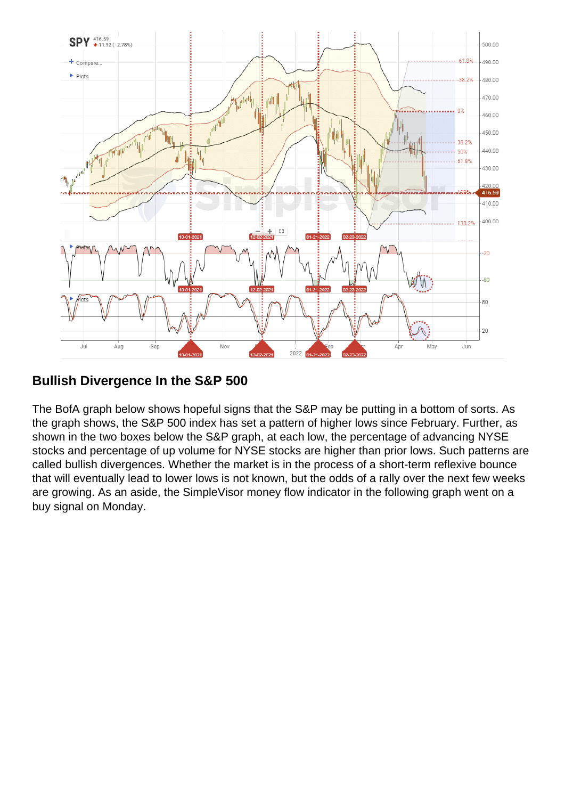Bullish Divergence In the S&P 500

The BofA graph below shows hopeful signs that the S&P may be putting in a bottom of sorts. As the graph shows, the S&P 500 index has set a pattern of higher lows since February. Further, as shown in the two boxes below the S&P graph, at each low, the percentage of advancing NYSE stocks and percentage of up volume for NYSE stocks are higher than prior lows. Such patterns are called bullish divergences. Whether the market is in the process of a short-term reflexive bounce that will eventually lead to lower lows is not known, but the odds of a rally over the next few weeks are growing. As an aside, the SimpleVisor money flow indicator in the following graph went on a buy signal on Monday.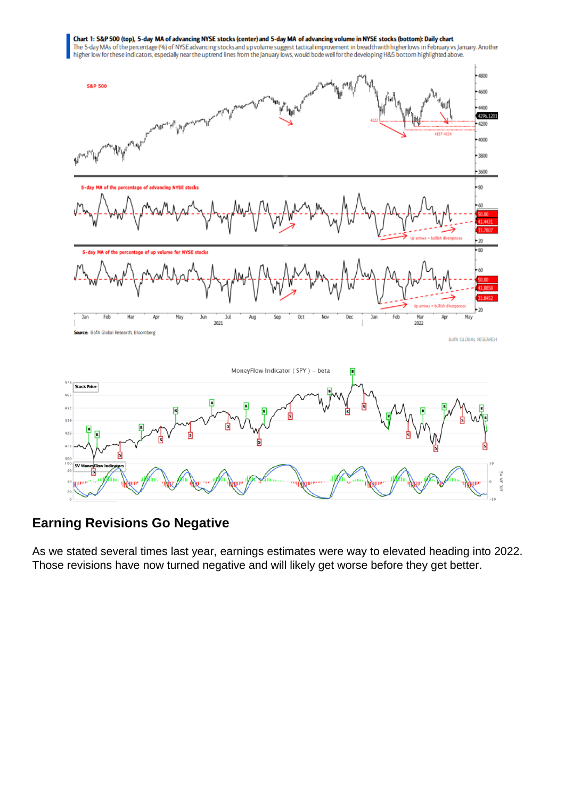## Earning Revisions Go Negative

As we stated several times last year, earnings estimates were way to elevated heading into 2022. Those revisions have now turned negative and will likely get worse before they get better.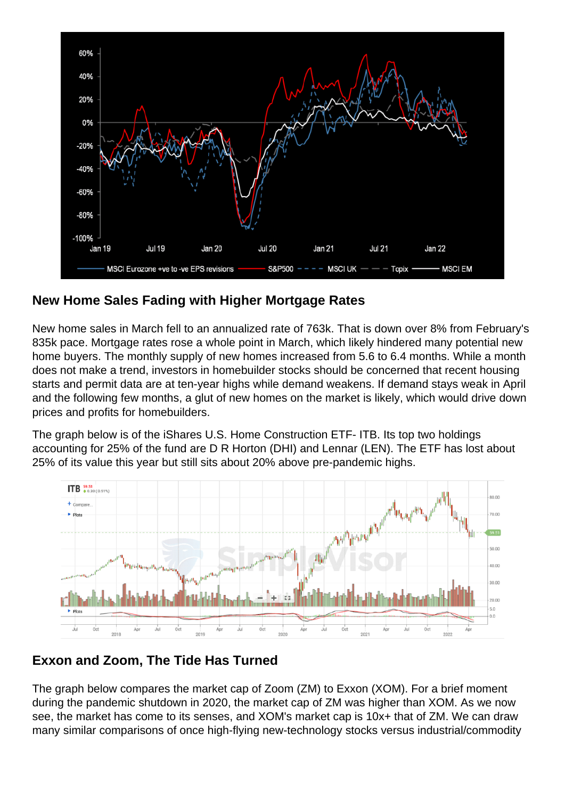## New Home Sales Fading with Higher Mortgage Rates

New home sales in March fell to an annualized rate of 763k. That is down over 8% from February's 835k pace. Mortgage rates rose a whole point in March, which likely hindered many potential new home buyers. The monthly supply of new homes increased from 5.6 to 6.4 months. While a month does not make a trend, investors in homebuilder stocks should be concerned that recent housing starts and permit data are at ten-year highs while demand weakens. If demand stays weak in April and the following few months, a glut of new homes on the market is likely, which would drive down prices and profits for homebuilders.

The graph below is of the iShares U.S. Home Construction ETF- ITB. Its top two holdings accounting for 25% of the fund are D R Horton (DHI) and Lennar (LEN). The ETF has lost about 25% of its value this year but still sits about 20% above pre-pandemic highs.

## Exxon and Zoom, The Tide Has Turned

The graph below compares the market cap of Zoom (ZM) to Exxon (XOM). For a brief moment during the pandemic shutdown in 2020, the market cap of ZM was higher than XOM. As we now see, the market has come to its senses, and XOM's market cap is 10x+ that of ZM. We can draw many similar comparisons of once high-flying new-technology stocks versus industrial/commodity